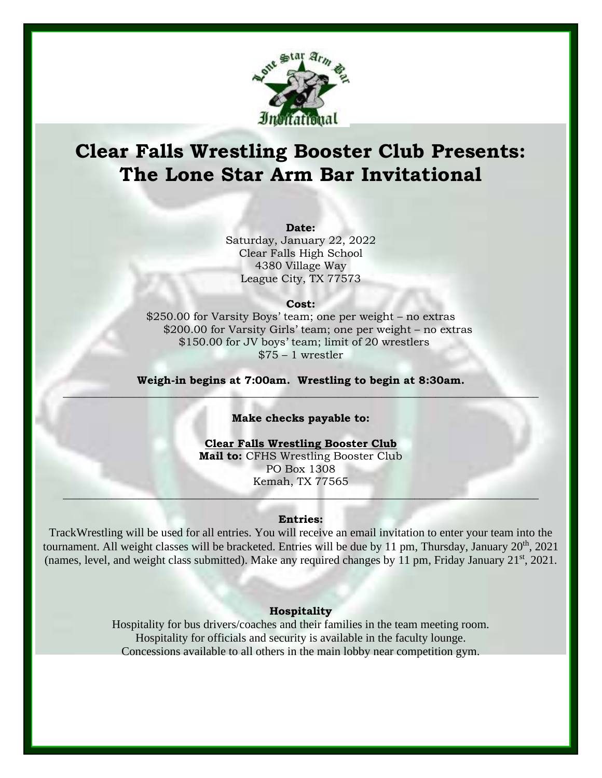

# **Clear Falls Wrestling Booster Club Presents: The Lone Star Arm Bar Invitational**

#### **Date:**

Saturday, January 22, 2022 Clear Falls High School 4380 Village Way League City, TX 77573

#### **Cost:**

\$250.00 for Varsity Boys' team; one per weight – no extras \$200.00 for Varsity Girls' team; one per weight – no extras \$150.00 for JV boys' team; limit of 20 wrestlers  $$75 - 1$  wrestler

**Weigh-in begins at 7:00am. Wrestling to begin at 8:30am. \_\_\_\_\_\_\_\_\_\_\_\_\_\_\_\_\_\_\_\_\_\_\_\_\_\_\_\_\_\_\_\_\_\_\_\_\_\_\_\_\_\_\_\_\_\_\_\_\_\_\_\_\_\_\_\_\_\_\_\_\_\_\_\_\_\_\_\_\_\_\_\_\_\_\_\_\_\_\_\_\_\_\_\_\_\_\_\_**

## **Make checks payable to:**

**Clear Falls Wrestling Booster Club Mail to:** CFHS Wrestling Booster Club PO Box 1308 Kemah, TX 77565

## **Entries:**

**\_\_\_\_\_\_\_\_\_\_\_\_\_\_\_\_\_\_\_\_\_\_\_\_\_\_\_\_\_\_\_\_\_\_\_\_\_\_\_\_\_\_\_\_\_\_\_\_\_\_\_\_\_\_\_\_\_\_\_\_\_\_\_\_\_\_\_\_\_\_\_\_\_\_\_\_\_\_\_\_\_\_\_\_\_\_\_\_**

TrackWrestling will be used for all entries. You will receive an email invitation to enter your team into the tournament. All weight classes will be bracketed. Entries will be due by 11 pm, Thursday, January  $20<sup>th</sup>$ , 2021 (names, level, and weight class submitted). Make any required changes by 11 pm, Friday January 21<sup>st</sup>, 2021.

## **Hospitality**

Hospitality for bus drivers/coaches and their families in the team meeting room. Hospitality for officials and security is available in the faculty lounge. Concessions available to all others in the main lobby near competition gym.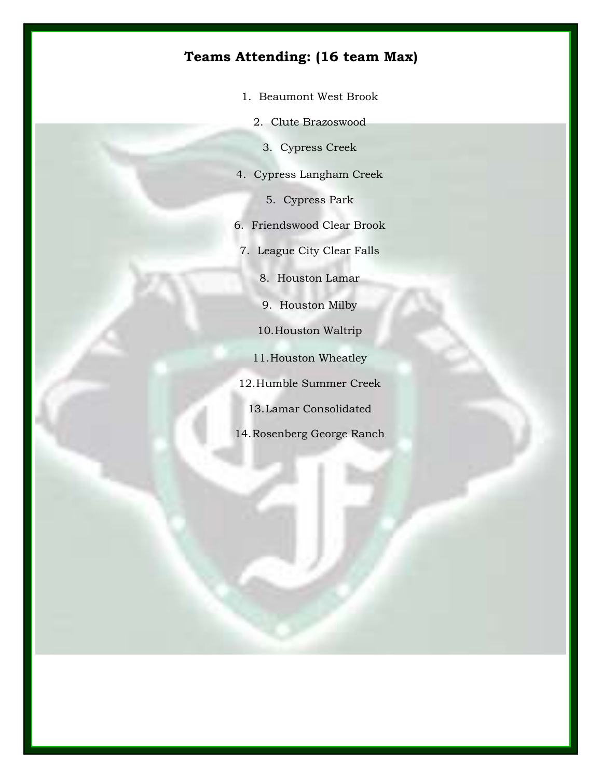# **Teams Attending: (16 team Max)**

- 1. Beaumont West Brook
	- 2. Clute Brazoswood
		- 3. Cypress Creek
- 4. Cypress Langham Creek
	- 5. Cypress Park
- 6. Friendswood Clear Brook
- 7. League City Clear Falls
	- 8. Houston Lamar
	- 9. Houston Milby
	- 10.Houston Waltrip
	- 11.Houston Wheatley
- 12.Humble Summer Creek
	- 13.Lamar Consolidated
- 14.Rosenberg George Ranch